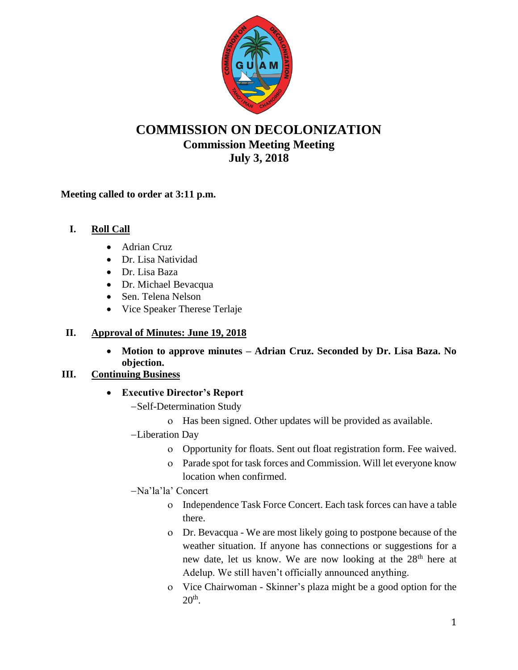

# **COMMISSION ON DECOLONIZATION Commission Meeting Meeting July 3, 2018**

### **Meeting called to order at 3:11 p.m.**

## **I. Roll Call**

- Adrian Cruz
- Dr. Lisa Natividad
- Dr. Lisa Baza
- Dr. Michael Bevacqua
- Sen. Telena Nelson
- Vice Speaker Therese Terlaje

## **II. Approval of Minutes: June 19, 2018**

 **Motion to approve minutes – Adrian Cruz. Seconded by Dr. Lisa Baza. No objection.**

### **III. Continuing Business**

- **Executive Director's Report**
	- -Self-Determination Study
		- Has been signed. Other updates will be provided as available.
	- Liberation Day
		- Opportunity for floats. Sent out float registration form. Fee waived.
		- Parade spot for task forces and Commission. Will let everyone know location when confirmed.
	- Na'la'la' Concert
		- Independence Task Force Concert. Each task forces can have a table there.
		- Dr. Bevacqua We are most likely going to postpone because of the weather situation. If anyone has connections or suggestions for a new date, let us know. We are now looking at the 28<sup>th</sup> here at Adelup. We still haven't officially announced anything.
		- Vice Chairwoman Skinner's plaza might be a good option for the  $20<sup>th</sup>$ .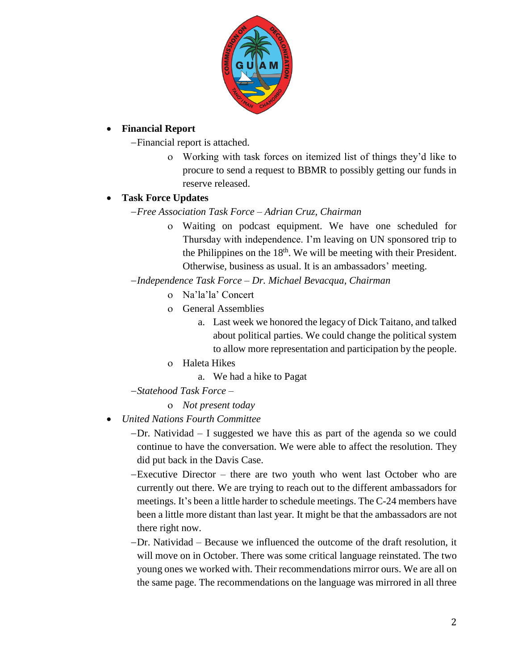

#### **Financial Report**

Financial report is attached.

 Working with task forces on itemized list of things they'd like to procure to send a request to BBMR to possibly getting our funds in reserve released.

### **Task Force Updates**

*Free Association Task Force – Adrian Cruz, Chairman*

 Waiting on podcast equipment. We have one scheduled for Thursday with independence. I'm leaving on UN sponsored trip to the Philippines on the  $18<sup>th</sup>$ . We will be meeting with their President. Otherwise, business as usual. It is an ambassadors' meeting.

*Independence Task Force – Dr. Michael Bevacqua, Chairman*

- Na'la'la' Concert
- General Assemblies
	- a. Last week we honored the legacy of Dick Taitano, and talked about political parties. We could change the political system to allow more representation and participation by the people.
- Haleta Hikes
	- a. We had a hike to Pagat

*Statehood Task Force –*

- *Not present today*
- *United Nations Fourth Committee*

Dr. Natividad – I suggested we have this as part of the agenda so we could continue to have the conversation. We were able to affect the resolution. They did put back in the Davis Case.

Executive Director – there are two youth who went last October who are currently out there. We are trying to reach out to the different ambassadors for meetings. It's been a little harder to schedule meetings. The C-24 members have been a little more distant than last year. It might be that the ambassadors are not there right now.

Dr. Natividad – Because we influenced the outcome of the draft resolution, it will move on in October. There was some critical language reinstated. The two young ones we worked with. Their recommendations mirror ours. We are all on the same page. The recommendations on the language was mirrored in all three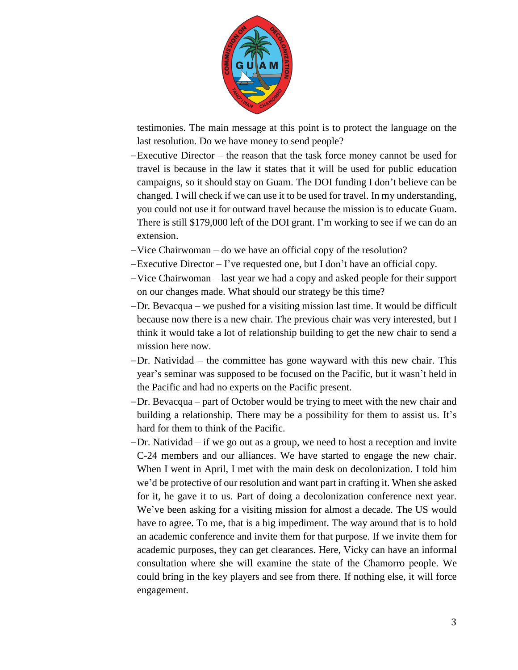

testimonies. The main message at this point is to protect the language on the last resolution. Do we have money to send people?

- Executive Director the reason that the task force money cannot be used for travel is because in the law it states that it will be used for public education campaigns, so it should stay on Guam. The DOI funding I don't believe can be changed. I will check if we can use it to be used for travel. In my understanding, you could not use it for outward travel because the mission is to educate Guam. There is still \$179,000 left of the DOI grant. I'm working to see if we can do an extension.
- Vice Chairwoman do we have an official copy of the resolution?
- Executive Director I've requested one, but I don't have an official copy.
- Vice Chairwoman last year we had a copy and asked people for their support on our changes made. What should our strategy be this time?
- Dr. Bevacqua we pushed for a visiting mission last time. It would be difficult because now there is a new chair. The previous chair was very interested, but I think it would take a lot of relationship building to get the new chair to send a mission here now.
- Dr. Natividad the committee has gone wayward with this new chair. This year's seminar was supposed to be focused on the Pacific, but it wasn't held in the Pacific and had no experts on the Pacific present.
- Dr. Bevacqua part of October would be trying to meet with the new chair and building a relationship. There may be a possibility for them to assist us. It's hard for them to think of the Pacific.
- Dr. Natividad if we go out as a group, we need to host a reception and invite C-24 members and our alliances. We have started to engage the new chair. When I went in April, I met with the main desk on decolonization. I told him we'd be protective of our resolution and want part in crafting it. When she asked for it, he gave it to us. Part of doing a decolonization conference next year. We've been asking for a visiting mission for almost a decade. The US would have to agree. To me, that is a big impediment. The way around that is to hold an academic conference and invite them for that purpose. If we invite them for academic purposes, they can get clearances. Here, Vicky can have an informal consultation where she will examine the state of the Chamorro people. We could bring in the key players and see from there. If nothing else, it will force engagement.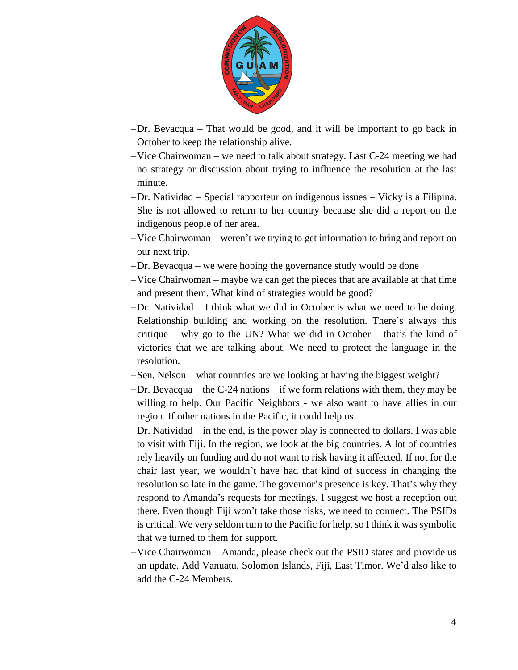

- Dr. Bevacqua That would be good, and it will be important to go back in October to keep the relationship alive.
- $-Vice Chairwoman we need to talk about strategy. Last C-24 meeting we had$ no strategy or discussion about trying to influence the resolution at the last minute.
- Dr. Natividad Special rapporteur on indigenous issues Vicky is a Filipina. She is not allowed to return to her country because she did a report on the indigenous people of her area.
- Vice Chairwoman weren't we trying to get information to bring and report on our next trip.
- Dr. Bevacqua we were hoping the governance study would be done
- $-Vice Chairwoman maybe we can get the pieces that are available at that time$ and present them. What kind of strategies would be good?
- $-Dr$ . Natividad  $-I$  think what we did in October is what we need to be doing. Relationship building and working on the resolution. There's always this critique – why go to the UN? What we did in October – that's the kind of victories that we are talking about. We need to protect the language in the resolution.
- Sen. Nelson what countries are we looking at having the biggest weight?
- $-Dr$ . Bevacqua the C-24 nations if we form relations with them, they may be willing to help. Our Pacific Neighbors - we also want to have allies in our region. If other nations in the Pacific, it could help us.
- Dr. Natividad in the end, is the power play is connected to dollars. I was able to visit with Fiji. In the region, we look at the big countries. A lot of countries rely heavily on funding and do not want to risk having it affected. If not for the chair last year, we wouldn't have had that kind of success in changing the resolution so late in the game. The governor's presence is key. That's why they respond to Amanda's requests for meetings. I suggest we host a reception out there. Even though Fiji won't take those risks, we need to connect. The PSIDs is critical. We very seldom turn to the Pacific for help, so I think it was symbolic that we turned to them for support.
- Vice Chairwoman Amanda, please check out the PSID states and provide us an update. Add Vanuatu, Solomon Islands, Fiji, East Timor. We'd also like to add the C-24 Members.